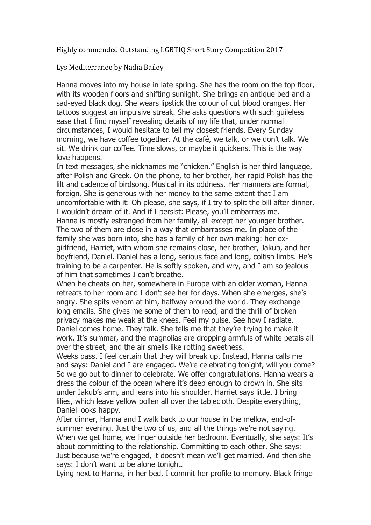Highly commended Outstanding LGBTIQ Short Story Competition 2017

Lys Mediterranee by Nadia Bailey

Hanna moves into my house in late spring. She has the room on the top floor, with its wooden floors and shifting sunlight. She brings an antique bed and a sad-eyed black dog. She wears lipstick the colour of cut blood oranges. Her tattoos suggest an impulsive streak. She asks questions with such guileless ease that I find myself revealing details of my life that, under normal circumstances, I would hesitate to tell my closest friends. Every Sunday morning, we have coffee together. At the café, we talk, or we don't talk. We sit. We drink our coffee. Time slows, or maybe it quickens. This is the way love happens.

In text messages, she nicknames me "chicken." English is her third language, after Polish and Greek. On the phone, to her brother, her rapid Polish has the lilt and cadence of birdsong. Musical in its oddness. Her manners are formal, foreign. She is generous with her money to the same extent that I am uncomfortable with it: Oh please, she says, if I try to split the bill after dinner. I wouldn't dream of it. And if I persist: Please, you'll embarrass me. Hanna is mostly estranged from her family, all except her younger brother. The two of them are close in a way that embarrasses me. In place of the family she was born into, she has a family of her own making: her exgirlfriend, Harriet, with whom she remains close, her brother, Jakub, and her boyfriend, Daniel. Daniel has a long, serious face and long, coltish limbs. He's training to be a carpenter. He is softly spoken, and wry, and I am so jealous of him that sometimes I can't breathe.

When he cheats on her, somewhere in Europe with an older woman, Hanna retreats to her room and I don't see her for days. When she emerges, she's angry. She spits venom at him, halfway around the world. They exchange long emails. She gives me some of them to read, and the thrill of broken privacy makes me weak at the knees. Feel my pulse. See how I radiate. Daniel comes home. They talk. She tells me that they're trying to make it work. It's summer, and the magnolias are dropping armfuls of white petals all over the street, and the air smells like rotting sweetness.

Weeks pass. I feel certain that they will break up. Instead, Hanna calls me and says: Daniel and I are engaged. We're celebrating tonight, will you come? So we go out to dinner to celebrate. We offer congratulations. Hanna wears a dress the colour of the ocean where it's deep enough to drown in. She sits under Jakub's arm, and leans into his shoulder. Harriet says little. I bring lilies, which leave yellow pollen all over the tablecloth. Despite everything, Daniel looks happy.

After dinner, Hanna and I walk back to our house in the mellow, end-ofsummer evening. Just the two of us, and all the things we're not saying. When we get home, we linger outside her bedroom. Eventually, she says: It's about committing to the relationship. Committing to each other. She says: Just because we're engaged, it doesn't mean we'll get married. And then she says: I don't want to be alone tonight.

Lying next to Hanna, in her bed, I commit her profile to memory. Black fringe